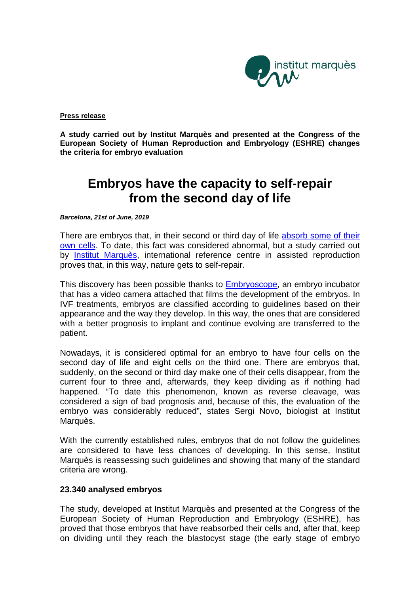

#### **Press release**

**A study carried out by Institut Marquès and presented at the Congress of the European Society of Human Reproduction and Embryology (ESHRE) changes the criteria for embryo evaluation** 

# **Embryos have the capacity to self-repair from the second day of life**

#### *Barcelona, 21st of June, 2019*

There are embryos that, in their second or third day of life absorb some of their [own cells.](https://www.youtube.com/watch?v=vq8ki_UA2-E&feature=youtu.be) To date, this fact was considered abnormal, but a study carried out by [Institut Marquès,](https://institutomarques.com/en/) international reference centre in assisted reproduction proves that, in this way, nature gets to self-repair.

This discovery has been possible thanks to [Embryoscope,](https://institutomarques.com/en/assisted-reproduction/special-techniques/embryoscope/) an embryo incubator that has a video camera attached that films the development of the embryos. In IVF treatments, embryos are classified according to guidelines based on their appearance and the way they develop. In this way, the ones that are considered with a better prognosis to implant and continue evolving are transferred to the patient.

Nowadays, it is considered optimal for an embryo to have four cells on the second day of life and eight cells on the third one. There are embryos that, suddenly, on the second or third day make one of their cells disappear, from the current four to three and, afterwards, they keep dividing as if nothing had happened. "To date this phenomenon, known as reverse cleavage, was considered a sign of bad prognosis and, because of this, the evaluation of the embryo was considerably reduced", states Sergi Novo, biologist at Institut Marquès.

With the currently established rules, embryos that do not follow the guidelines are considered to have less chances of developing. In this sense, Institut Marquès is reassessing such guidelines and showing that many of the standard criteria are wrong.

## **23.340 analysed embryos**

The study, developed at Institut Marquès and presented at the Congress of the European Society of Human Reproduction and Embryology (ESHRE), has proved that those embryos that have reabsorbed their cells and, after that, keep on dividing until they reach the blastocyst stage (the early stage of embryo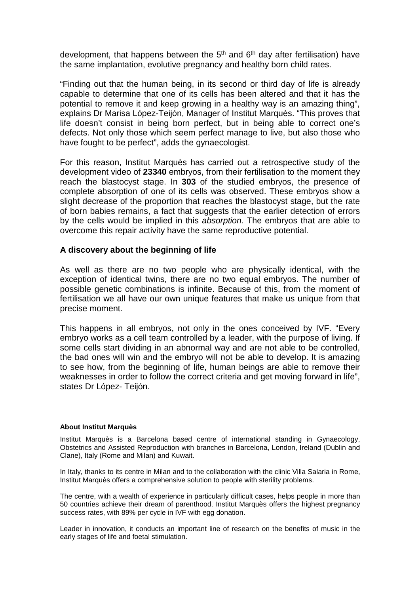development, that happens between the  $5<sup>th</sup>$  and  $6<sup>th</sup>$  day after fertilisation) have the same implantation, evolutive pregnancy and healthy born child rates.

"Finding out that the human being, in its second or third day of life is already capable to determine that one of its cells has been altered and that it has the potential to remove it and keep growing in a healthy way is an amazing thing", explains Dr Marisa López-Teijón, Manager of Institut Marquès. "This proves that life doesn't consist in being born perfect, but in being able to correct one's defects. Not only those which seem perfect manage to live, but also those who have fought to be perfect", adds the gynaecologist.

For this reason, Institut Marquès has carried out a retrospective study of the development video of **23340** embryos, from their fertilisation to the moment they reach the blastocyst stage. In **303** of the studied embryos, the presence of complete absorption of one of its cells was observed. These embryos show a slight decrease of the proportion that reaches the blastocyst stage, but the rate of born babies remains, a fact that suggests that the earlier detection of errors by the cells would be implied in this *absorption.* The embryos that are able to overcome this repair activity have the same reproductive potential.

## **A discovery about the beginning of life**

As well as there are no two people who are physically identical, with the exception of identical twins, there are no two equal embryos. The number of possible genetic combinations is infinite. Because of this, from the moment of fertilisation we all have our own unique features that make us unique from that precise moment.

This happens in all embryos, not only in the ones conceived by IVF. "Every embryo works as a cell team controlled by a leader, with the purpose of living. If some cells start dividing in an abnormal way and are not able to be controlled, the bad ones will win and the embryo will not be able to develop. It is amazing to see how, from the beginning of life, human beings are able to remove their weaknesses in order to follow the correct criteria and get moving forward in life", states Dr López- Teijón.

#### **About Institut Marquès**

Institut Marquès is a Barcelona based centre of international standing in Gynaecology, Obstetrics and Assisted Reproduction with branches in Barcelona, London, Ireland (Dublin and Clane), Italy (Rome and Milan) and Kuwait.

In Italy, thanks to its centre in Milan and to the collaboration with the clinic Villa Salaria in Rome, Institut Marquès offers a comprehensive solution to people with sterility problems.

The centre, with a wealth of experience in particularly difficult cases, helps people in more than 50 countries achieve their dream of parenthood. Institut Marquès offers the highest pregnancy success rates, with 89% per cycle in IVF with egg donation.

Leader in innovation, it conducts an important line of research on the benefits of music in the early stages of life and foetal stimulation.